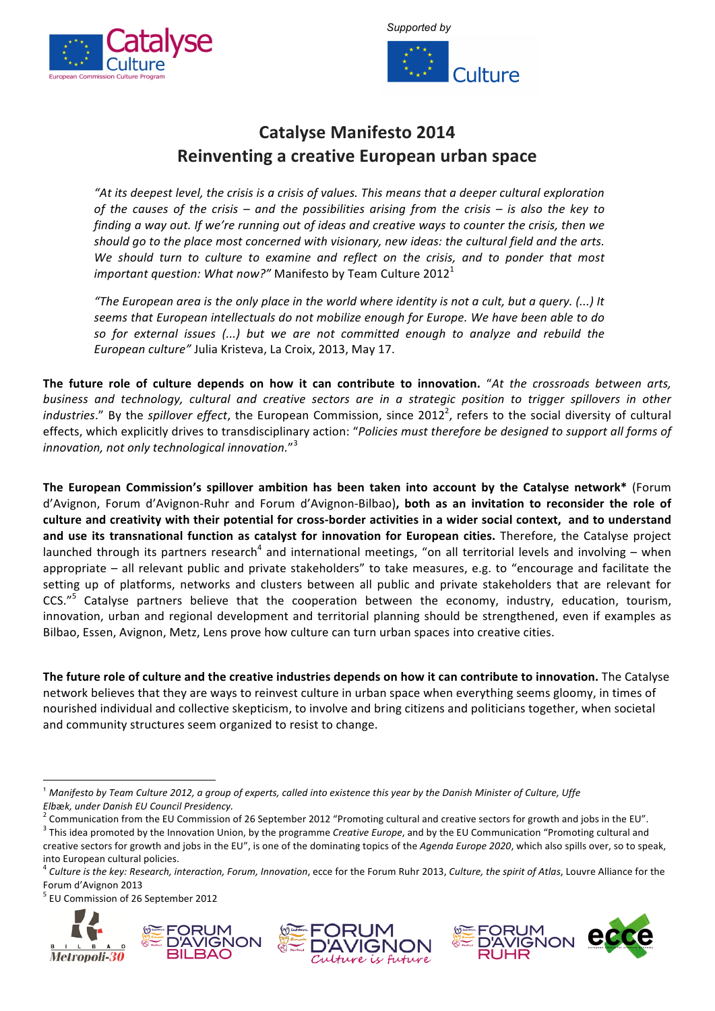



## **Catalyse Manifesto 2014 Reinventing a creative European urban space**

"At its deepest level, the crisis is a crisis of values. This means that a deeper cultural exploration *of the causes of the crisis – and the possibilities arising from the crisis – is also the key to finding a way out. If we're running out of ideas and creative ways to counter the crisis, then we should go to the place most concerned with visionary, new ideas: the cultural field and the arts. We should turn to culture to examine and reflect on the crisis, and to ponder that most important question: What now?"* Manifesto by Team Culture 2012<sup>1</sup>

"The European area is the only place in the world where identity is not a cult, but a query. (...) It seems that European intellectuals do not mobilize enough for Europe. We have been able to do *so for external issues (...) but we are not committed enough to analyze and rebuild the European culture"* Julia Kristeva, La Croix, 2013, May 17.

The future role of culture depends on how it can contribute to innovation. "At the crossroads between arts, business and technology, cultural and creative sectors are in a strategic position to trigger spillovers in other industries." By the spillover effect, the European Commission, since 2012<sup>2</sup>, refers to the social diversity of cultural effects, which explicitly drives to transdisciplinary action: "Policies must therefore be designed to support all forms of innovation, not only technological innovation."<sup>3</sup>

**The European Commission's spillover ambition has been taken into account by the Catalyse network\* (Forum)** d'Avignon, Forum d'Avignon-Ruhr and Forum d'Avignon-Bilbao), both as an invitation to reconsider the role of culture and creativity with their potential for cross-border activities in a wider social context, and to understand **and use its transnational function as catalyst for innovation for European cities. Therefore, the Catalyse project** launched through its partners research<sup>4</sup> and international meetings, "on all territorial levels and involving – when appropriate – all relevant public and private stakeholders" to take measures, e.g. to "encourage and facilitate the setting up of platforms, networks and clusters between all public and private stakeholders that are relevant for CCS."<sup>5</sup> Catalyse partners believe that the cooperation between the economy, industry, education, tourism, innovation, urban and regional development and territorial planning should be strengthened, even if examples as Bilbao, Essen, Avignon, Metz, Lens prove how culture can turn urban spaces into creative cities.

The future role of culture and the creative industries depends on how it can contribute to innovation. The Catalyse network believes that they are ways to reinvest culture in urban space when everything seems gloomy, in times of nourished individual and collective skepticism, to involve and bring citizens and politicians together, when societal and community structures seem organized to resist to change.

!!!!!!!!!!!!!!!!!!!!!!!!!!!!!!!!!!!!!!!!!!!!!!!!!!!!!!!!!!!!











 $^1$  Manifesto by Team Culture 2012, a group of experts, called into existence this year by the Danish Minister of Culture, Uffe

Elbæk, under Danish EU Council Presidency.<br><sup>2</sup> Communication from the EU Commission of 26 September 2012 "Promoting cultural and creative sectors for growth and jobs in the EU".<br><sup>3</sup> This idea promoted by the Innovation Un creative sectors for growth and jobs in the EU", is one of the dominating topics of the *Agenda Europe 2020*, which also spills over, so to speak, into European cultural policies.

<sup>&</sup>lt;sup>4</sup> Culture is the key: Research, interaction, Forum, Innovation, ecce for the Forum Ruhr 2013, Culture, the spirit of Atlas, Louvre Alliance for the Forum d'Avignon 2013

<sup>&</sup>lt;sup>5</sup> EU Commission of 26 September 2012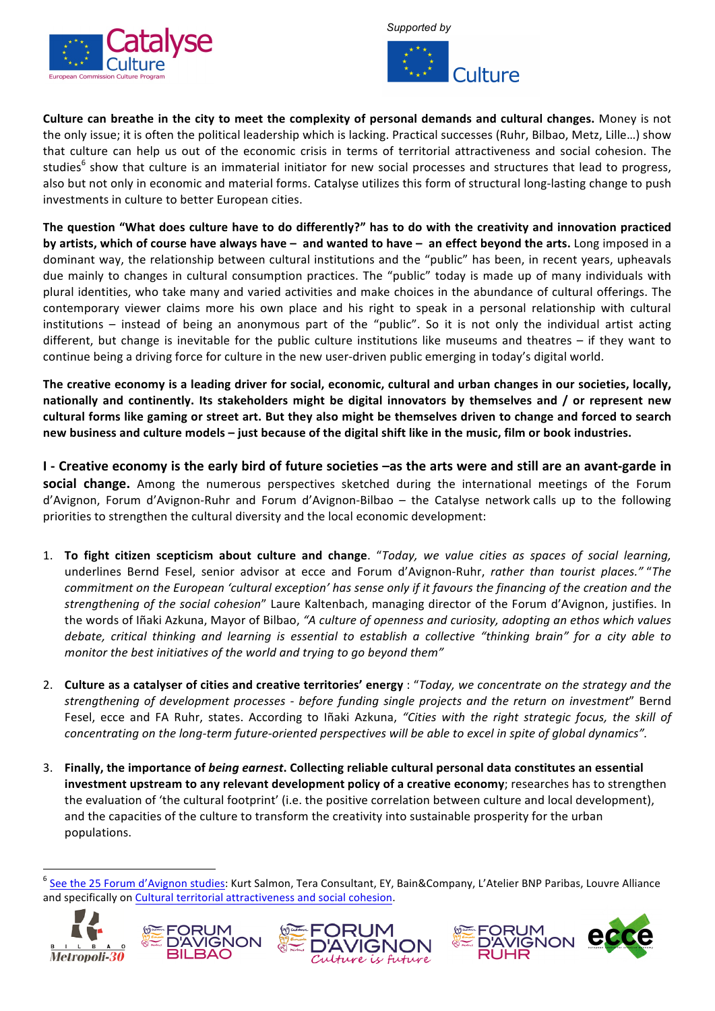



**Culture can breathe in the city to meet the complexity of personal demands and cultural changes.** Money is not the only issue; it is often the political leadership which is lacking. Practical successes (Ruhr, Bilbao, Metz, Lille...) show that culture can help us out of the economic crisis in terms of territorial attractiveness and social cohesion. The studies<sup>6</sup> show that culture is an immaterial initiator for new social processes and structures that lead to progress, also but not only in economic and material forms. Catalyse utilizes this form of structural long-lasting change to push investments in culture to better European cities.

The question "What does culture have to do differently?" has to do with the creativity and innovation practiced **by artists, which of course have always have – and wanted to have – an effect beyond the arts. Long imposed in a** dominant way, the relationship between cultural institutions and the "public" has been, in recent years, upheavals due mainly to changes in cultural consumption practices. The "public" today is made up of many individuals with plural identities, who take many and varied activities and make choices in the abundance of cultural offerings. The contemporary viewer claims more his own place and his right to speak in a personal relationship with cultural institutions – instead of being an anonymous part of the "public". So it is not only the individual artist acting different, but change is inevitable for the public culture institutions like museums and theatres  $-$  if they want to continue being a driving force for culture in the new user-driven public emerging in today's digital world.

The creative economy is a leading driver for social, economic, cultural and urban changes in our societies, locally, nationally and continently. Its stakeholders might be digital innovators by themselves and / or represent new cultural forms like gaming or street art. But they also might be themselves driven to change and forced to search new business and culture models – just because of the digital shift like in the music, film or book industries.

**I** - Creative economy is the early bird of future societies –as the arts were and still are an avant-garde in **social change.** Among the numerous perspectives sketched during the international meetings of the Forum d'Avignon, Forum d'Avignon-Ruhr and Forum d'Avignon-Bilbao – the Catalyse network calls up to the following priorities to strengthen the cultural diversity and the local economic development:

- 1. To fight citizen scepticism about culture and change. "Today, we value cities as spaces of social learning, underlines Bernd Fesel, senior advisor at ecce and Forum d'Avignon-Ruhr, *rather than tourist places."* "The *commitment on the European 'cultural exception' has sense only if it favours the financing of the creation and the strengthening of the social cohesion*" Laure Kaltenbach, managing director of the Forum d'Avignon, justifies. In the words of Iñaki Azkuna, Mayor of Bilbao, "A culture of openness and curiosity, adopting an ethos which values *debate, critical thinking and learning is essential to establish a collective "thinking brain" for a city able to monitor the best initiatives of the world and trying to go beyond them"*
- 2. **Culture as a catalyser of cities and creative territories' energy : "Today, we concentrate on the strategy and the** *strengthening of development processes - before funding single projects and the return on investment*" Bernd Fesel, ecce and FA Ruhr, states. According to Iñaki Azkuna, "Cities with the right strategic focus, the skill of *concentrating on the long-term future-oriented perspectives will be able to excel in spite of global dynamics".*
- 3. Finally, the importance of *being earnest*. Collecting reliable cultural personal data constitutes an essential **investment upstream to any relevant development policy of a creative economy; researches has to strengthen** the evaluation of 'the cultural footprint' (i.e. the positive correlation between culture and local development), and the capacities of the culture to transform the creativity into sustainable prosperity for the urban populations.

<sup>&</sup>lt;sup>6</sup> See the 25 Forum d'Avignon studies: Kurt Salmon, Tera Consultant, EY, Bain&Company, L'Atelier BNP Paribas, Louvre Alliance and specifically on Cultural territorial attractiveness and social cohesion.



!!!!!!!!!!!!!!!!!!!!!!!!!!!!!!!!!!!!!!!!!!!!!!!!!!!!!!!!!!!!





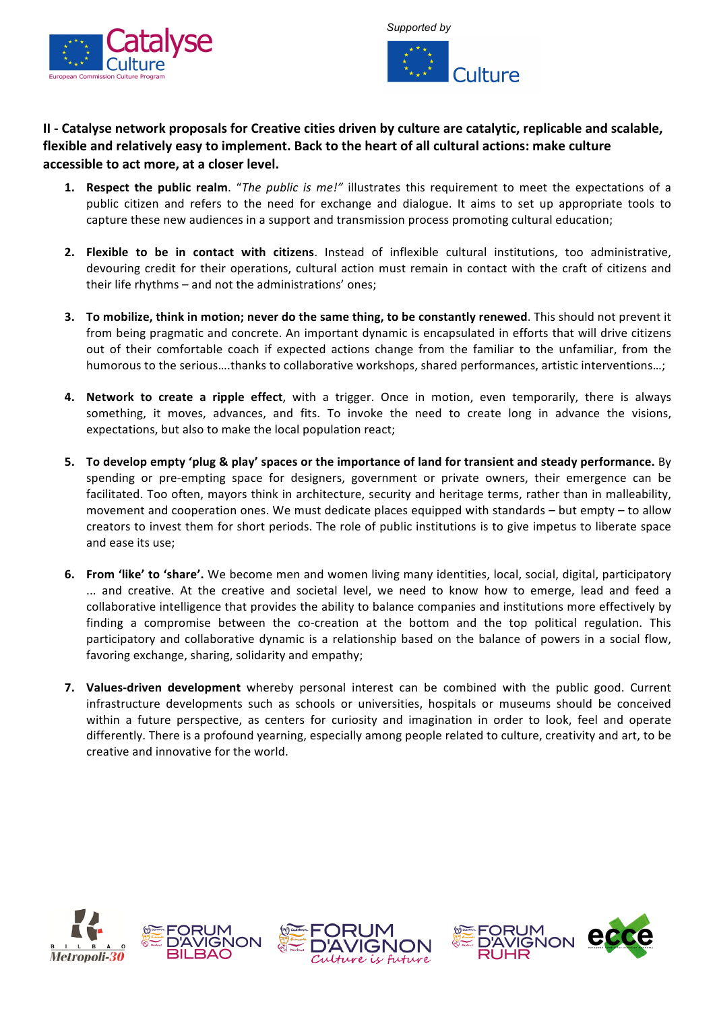



## **II - Catalyse network proposals for Creative cities driven by culture are catalytic, replicable and scalable,** flexible and relatively easy to implement. Back to the heart of all cultural actions: make culture accessible to act more, at a closer level.

- **1. Respect the public realm**. "The public is me!" illustrates this requirement to meet the expectations of a public citizen and refers to the need for exchange and dialogue. It aims to set up appropriate tools to capture these new audiences in a support and transmission process promoting cultural education;
- **2. Flexible to be in contact with citizens**. Instead of inflexible cultural institutions, too administrative, devouring credit for their operations, cultural action must remain in contact with the craft of citizens and their life rhythms – and not the administrations' ones;
- **3. To mobilize, think in motion; never do the same thing, to be constantly renewed**. This should not prevent it from being pragmatic and concrete. An important dynamic is encapsulated in efforts that will drive citizens out of their comfortable coach if expected actions change from the familiar to the unfamiliar, from the humorous to the serious....thanks to collaborative workshops, shared performances, artistic interventions...;
- **4. Network to create a ripple effect**, with a trigger. Once in motion, even temporarily, there is always something, it moves, advances, and fits. To invoke the need to create long in advance the visions, expectations, but also to make the local population react;
- **5.** To develop empty 'plug & play' spaces or the importance of land for transient and steady performance. By spending or pre-empting space for designers, government or private owners, their emergence can be facilitated. Too often, mayors think in architecture, security and heritage terms, rather than in malleability, movement and cooperation ones. We must dedicate places equipped with standards – but empty – to allow creators to invest them for short periods. The role of public institutions is to give impetus to liberate space and ease its use;
- 6. From 'like' to 'share'. We become men and women living many identities, local, social, digital, participatory ... and creative. At the creative and societal level, we need to know how to emerge, lead and feed a collaborative intelligence that provides the ability to balance companies and institutions more effectively by finding a compromise between the co-creation at the bottom and the top political regulation. This participatory and collaborative dynamic is a relationship based on the balance of powers in a social flow, favoring exchange, sharing, solidarity and empathy;
- **7.** Values-driven development whereby personal interest can be combined with the public good. Current infrastructure developments such as schools or universities, hospitals or museums should be conceived within a future perspective, as centers for curiosity and imagination in order to look, feel and operate differently. There is a profound yearning, especially among people related to culture, creativity and art, to be creative and innovative for the world.









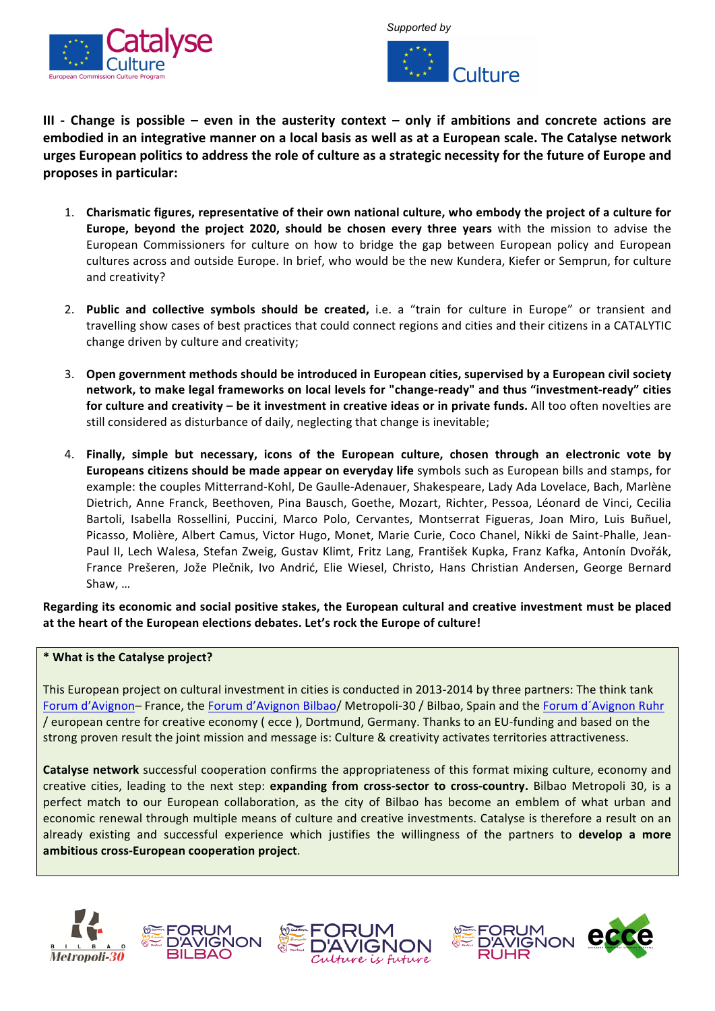



**III** - Change is possible – even in the austerity context – only if ambitions and concrete actions are embodied in an integrative manner on a local basis as well as at a European scale. The Catalyse network **urges European politics to address the role of culture as a strategic necessity for the future of Europe and proposes in(particular:**

- 1. Charismatic figures, representative of their own national culture, who embody the project of a culture for **Europe, beyond the project 2020, should be chosen every three years with the mission to advise the** European Commissioners for culture on how to bridge the gap between European policy and European cultures across and outside Europe. In brief, who would be the new Kundera, Kiefer or Semprun, for culture and creativity?
- 2. **Public and collective symbols should be created,** i.e. a "train for culture in Europe" or transient and travelling show cases of best practices that could connect regions and cities and their citizens in a CATALYTIC change driven by culture and creativity;
- 3. Open government methods should be introduced in European cities, supervised by a European civil society **network, to make legal frameworks on local levels for "change-ready" and thus "investment-ready" cities for culture and creativity – be it investment in creative ideas or in private funds. All too often novelties are** still considered as disturbance of daily, neglecting that change is inevitable;
- 4. Finally, simple but necessary, icons of the European culture, chosen through an electronic vote by **Europeans citizens should be made appear on everyday life symbols such as European bills and stamps, for** example: the couples Mitterrand-Kohl, De Gaulle-Adenauer, Shakespeare, Lady Ada Lovelace, Bach, Marlène Dietrich, Anne Franck, Beethoven, Pina Bausch, Goethe, Mozart, Richter, Pessoa, Léonard de Vinci, Cecilia Bartoli, Isabella Rossellini, Puccini, Marco Polo, Cervantes, Montserrat Figueras, Joan Miro, Luis Buñuel, Picasso, Molière, Albert Camus, Victor Hugo, Monet, Marie Curie, Coco Chanel, Nikki de Saint-Phalle, Jean-Paul II, Lech Walesa, Stefan Zweig, Gustav Klimt, Fritz Lang, František Kupka, Franz Kafka, Antonín Dvořák, France Prešeren, Jože Plečnik, Ivo Andrić, Elie Wiesel, Christo, Hans Christian Andersen, George Bernard Shaw, ...

Regarding its economic and social positive stakes, the European cultural and creative investment must be placed at the heart of the European elections debates. Let's rock the Europe of culture!

## \* What is the Catalyse project?

This European project on cultural investment in cities is conducted in 2013-2014 by three partners: The think tank Forum d'Avignon– France, the Forum d'Avignon Bilbao/ Metropoli-30 / Bilbao, Spain and the Forum d'Avignon Ruhr / european centre for creative economy ( ecce ), Dortmund, Germany. Thanks to an EU-funding and based on the strong proven result the joint mission and message is: Culture & creativity activates territories attractiveness.

**Catalyse network** successful cooperation confirms the appropriateness of this format mixing culture, economy and creative cities, leading to the next step: expanding from cross-sector to cross-country. Bilbao Metropoli 30, is a perfect match to our European collaboration, as the city of Bilbao has become an emblem of what urban and economic renewal through multiple means of culture and creative investments. Catalyse is therefore a result on an already existing and successful experience which justifies the willingness of the partners to **develop a more** ambitious cross-European cooperation project.